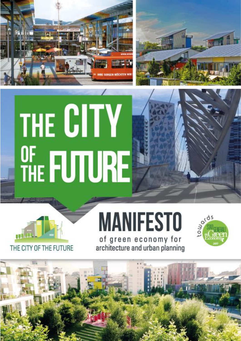



# THE CITY OF FUTURE

THE CITY OF THE FUTURE



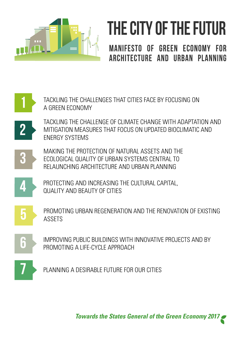

## THE CITY OF THE FUTUR

MANIFESTO OF GREEN ECONOMY FOR ARCHITECTURE AND URBAN PLANNING



*Towards the States General of the Green Economy 2017*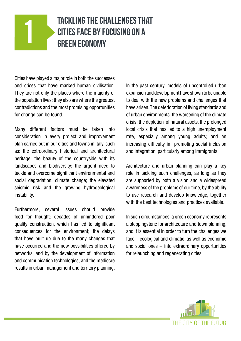## **TACKLING THE CHALLENGES THAT** CITIES FACE BY FOCUSING ON A GREEN ECONOMY

Cities have played a major role in both the successes and crises that have marked human civilisation. They are not only the places where the majority of the population lives; they also are where the greatest contradictions and the most promising opportunities for change can be found.

Many different factors must be taken into consideration in every project and improvement plan carried out in our cities and towns in Italy, such as: the extraordinary historical and architectural heritage; the beauty of the countryside with its landscapes and biodiversity; the urgent need to tackle and overcome significant environmental and social degradation; climate change; the elevated seismic risk and the growing hydrogeological instability.

Furthermore, several issues should provide food for thought: decades of unhindered poor quality construction, which has led to significant consequences for the environment; the delays that have built up due to the many changes that have occurred and the new possibilities offered by networks, and by the development of information and communication technologies; and the mediocre results in urban management and territory planning. In the past century, models of uncontrolled urban expansion and development have shown to be unable to deal with the new problems and challenges that have arisen. The deterioration of living standards and of urban environments; the worsening of the climate crisis; the depletion of natural assets, the prolonged local crisis that has led to a high unemployment rate, especially among young adults; and an increasing difficulty in promoting social inclusion and integration, particularly among immigrants.

Architecture and urban planning can play a key role in tackling such challenges, as long as they are supported by both a vision and a widespread awareness of the problems of our time; by the ability to use research and develop knowledge, together with the best technologies and practices available.

In such circumstances, a green economy represents a steppingstone for architecture and town planning, and it is essential in order to turn the challenges we face – ecological and climatic, as well as economic and social ones – into extraordinary opportunities for relaunching and regenerating cities.

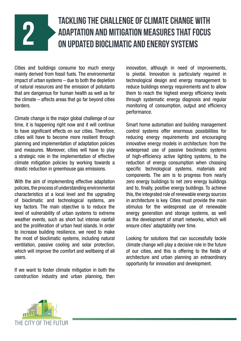## TACKLING THE CHALLENGE OF CLIMATE CHANGE WITH<br>ADAPTATION AND MITIGATION MEASURES THAT FOCUS<br>ON UPDATED BIOCLIMATIC AND ENERGY SYSTEMS ADAPTATION AND MITIGATION MEASURES THAT FOCUS ON UPDATED BIOCLIMATIC AND ENERGY SYSTEMS

Cities and buildings consume too much energy mainly derived from fossil fuels. The environmental impact of urban systems – due to both the depletion of natural resources and the emission of pollutants that are dangerous for human health as well as for the climate – affects areas that go far beyond cities borders.

Climate change is the major global challenge of our time, it is happening right now and it will continue to have significant effects on our cities. Therefore, cities will have to become more resilient through planning and implementation of adaptation policies and measures. Moreover, cities will have to play a strategic role in the implementation of effective climate mitigation policies by working towards a drastic reduction in greenhouse gas emissions.

With the aim of implementing effective adaptation policies, the process of understanding environmental characteristics at a local level and the upgrading of bioclimatic and technological systems, are key factors. The main objective is to reduce the level of vulnerability of urban systems to extreme weather events, such as short but intense rainfall and the proliferation of urban heat islands. In order to increase building resilience, we need to make the most of bioclimatic systems, including natural ventilation, passive cooling and solar protection, which will improve the comfort and wellbeing of all users.

If we want to foster climate mitigation in both the construction industry and urban planning, then innovation, although in need of improvements, is pivotal. Innovation is particularly required in technological design and energy management to reduce buildings energy requirements and to allow them to reach the highest energy efficiency levels through systematic energy diagnosis and regular monitoring of consumption, output and efficiency performance.

Smart home automation and building management control systems offer enormous possibilities for reducing energy requirements and encouraging innovative energy models in architecture: from the widespread use of passive bioclimatic systems of high-efficiency active lighting systems, to the reduction of energy consumption when choosing specific technological systems, materials and components. The aim is to progress from nearly zero energy buildings to net zero energy buildings and to, finally, positive energy buildings. To achieve this, the integrated role of renewable energy sources in architecture is key. Cities must provide the main stimulus for the widespread use of renewable energy generation and storage systems, as well as the development of smart networks, which will ensure cities' adaptability over time.

Looking for solutions that can successfully tackle climate change will play a decisive role in the future of our cities, and this is offering to the fields of architecture and urban planning an extraordinary opportunity for innovation and development.

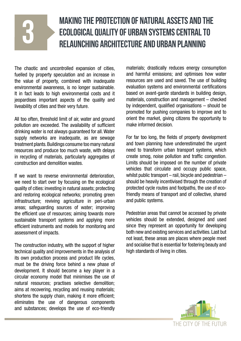## Making the protection of natural assets and the ecological quality of urban systems central to relaunching architecture and urban planning

The chaotic and uncontrolled expansion of cities, fuelled by property speculation and an increase in the value of property, combined with inadequate environmental awareness, is no longer sustainable. It in fact leads to high environmental costs and it jeopardises important aspects of the quality and liveability of cities and their very future.

3

All too often, threshold limit of air, water and ground pollution are exceeded. The availability of sufficient drinking water is not always guaranteed for all. Water supply networks are inadequate, as are sewage treatment plants. Buildings consume too many natural resources and produce too much waste, with delays in recycling of materials, particularly aggregates of construction and demolition wastes.

If we want to reverse environmental deterioration, we need to start over by focusing on the ecological quality of cities: investing in natural assets; protecting and restoring ecological networks; promoting green infrastructure; reviving agriculture in peri-urban areas; safeguarding sources of water; improving the efficient use of resources; aiming towards more sustainable transport systems and applying more efficient instruments and models for monitoring and assessment of impacts.

The construction industry, with the support of higher technical quality and improvements in the analysis of its own production process and product life cycles, must be the driving force behind a new phase of development. It should become a key player in a circular economy model that minimises the use of natural resources; practises selective demolition; aims at recovering, recycling and reusing materials; shortens the supply chain, making it more efficient; eliminates the use of dangerous components and substances; develops the use of eco-friendly materials; drastically reduces energy consumption and harmful emissions; and optimises how water resources are used and saved. The use of building evaluation systems and environmental certifications based on avant-garde standards in building design, materials, construction and management – checked by independent, qualified organisations – should be promoted for pushing companies to improve and to orient the market, giving citizens the opportunity to make informed decision.

For far too long, the fields of property development and town planning have underestimated the urgent need to transform urban transport systems, which create smog, noise pollution and traffic congestion. Limits should be imposed on the number of private vehicles that circulate and occupy public space, whilst public transport – rail, bicycle and pedestrian – should be heavily incentivised through the creation of protected cycle routes and footpaths, the use of ecofriendly means of transport and of collective, shared and public systems.

Pedestrian areas that cannot be accessed by private vehicles should be extended, designed and used since they represent an opportunity for developing both new and existing services and activities. Last but not least, these areas are places where people meet and socialise that is essential for fostering beauty and high standards of living in cities.

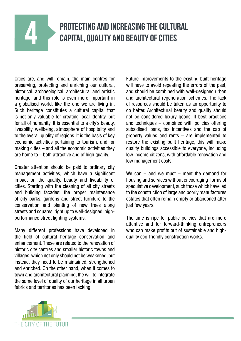## PROTECTING AND INCREASING THE CULTURAL CAPITAL, QUALITY AND BEAUTY OF CITIES

Cities are, and will remain, the main centres for preserving, protecting and enriching our cultural, historical, archaeological, architectural and artistic heritage, and this role is even more important in a globalised world, like the one we are living in. Such heritage constitutes a cultural capital that is not only valuable for creating local identity, but for all of humanity. It is essential to a city's beauty, liveability, wellbeing, atmosphere of hospitality and to the overall quality of regions. It is the basis of key economic activities pertaining to tourism, and for making cities – and all the economic activities they are home to – both attractive and of high quality.

Greater attention should be paid to ordinary city management activities, which have a significant impact on the quality, beauty and liveability of cities. Starting with the cleaning of all city streets and building facades; the proper maintenance of city parks, gardens and street furniture to the conservation and planting of new trees along streets and squares, right up to well-designed, highperformance street lighting systems.

Many different professions have developed in the field of cultural heritage conservation and enhancement. These are related to the renovation of historic city centres and smaller historic towns and villages, which not only should not be weakened, but instead, they need to be maintained, strengthened and enriched. On the other hand, when it comes to town and architectural planning, the will to integrate the same level of quality of our heritage in all urban fabrics and territories has been lacking.

Future improvements to the existing built heritage will have to avoid repeating the errors of the past, and should be combined with well-designed urban and architectural regeneration schemes. The lack of resources should be taken as an opportunity to do better. Architectural beauty and quality should not be considered luxury goods. If best practices and techniques – combined with policies offering subsidised loans, tax incentives and the cap of property values and rents – are implemented to restore the existing built heritage, this will make quality buildings accessible to everyone, including low income citizens, with affordable renovation and low management costs.

We can  $-$  and we must  $-$  meet the demand for housing and services without encouraging forms of speculative development, such those which have led to the construction of large and poorly manufactures estates that often remain empty or abandoned after just few years.

The time is ripe for public policies that are more attentive and for forward-thinking entrepreneurs who can make profits out of sustainable and highquality eco-friendly construction works.

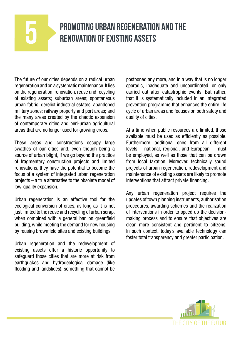## PROMOTING URBAN REGENERATION AND THE RENOVATION OF EXISTING ASSETS

The future of our cities depends on a radical urban regeneration and on a systematic maintenance. It lies on the regeneration, renovation, reuse and recycling of existing assets; suburban areas; spontaneous urban fabric; derelict industrial estates; abandoned military zones; railway property and port areas; and the many areas created by the chaotic expansion of contemporary cities and peri-urban agricultural areas that are no longer used for growing crops.

These areas and constructions occupy large swathes of our cities and, even though being a source of urban blight, if we go beyond the practice of fragmentary construction projects and limited renovations, they have the potential to become the focus of a system of integrated urban regeneration projects – a true alternative to the obsolete model of low-quality expansion.

Urban regeneration is an effective tool for the ecological conversion of cities, as long as it is not just limited to the reuse and recycling of urban scrap, when combined with a general ban on greenfield building, while meeting the demand for new housing by reusing brownfield sites and existing buildings.

Urban regeneration and the redevelopment of existing assets offer a historic opportunity to safeguard those cities that are more at risk from earthquakes and hydrogeological damage (like flooding and landslides), something that cannot be postponed any more, and in a way that is no longer sporadic, inadequate and uncoordinated, or only carried out after catastrophic events. But rather, that it is systematically included in an integrated prevention programme that enhances the entire life cycle of urban areas and focuses on both safety and quality of cities.

At a time when public resources are limited, those available must be used as efficiently as possible. Furthermore, additional ones from all different levels – national, regional, and European – must be employed, as well as those that can be drawn from local taxation. Moreover, technically sound projects of urban regeneration, redevelopment and maintenance of existing assets are likely to promote interventions that attract private financing.

Any urban regeneration project requires the updates of town planning instruments, authorisation procedures, awarding schemes and the realization of interventions in order to speed up the decisionmaking process and to ensure that objectives are clear, more consistent and pertinent to citizens. In such context, today's available technology can foster total transparency and greater participation.

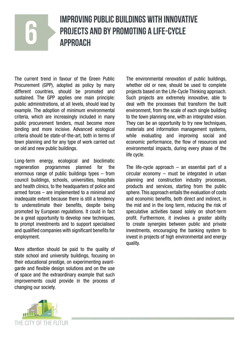## IMPROVING PUBLIC BUILDINGS WITH INNOVATIVE PROJECTS AND BY PROMOTING A LIFE-CYCLE<br>APPROACH

The current trend in favour of the Green Public Procurement (GPP), adopted as policy by many different countries, should be promoted and sustained. The GPP applies one main principle: public administrations, at all levels, should lead by example. The adoption of minimum environmental criteria, which are increasingly included in many public procurement tenders, must become more binding and more incisive. Advanced ecological criteria should be state-of-the-art, both in terms of town planning and for any type of work carried out on old and new public buildings.

Long-term energy, ecological and bioclimatic regeneration programmes planned for the enormous range of public buildings types – from council buildings, schools, universities, hospitals and health clinics, to the headquarters of police and armed forces – are implemented to a minimal and inadequate extent because there is still a tendency to underestimate their benefits, despite being promoted by European regulations. It could in fact be a great opportunity to develop new techniques, to prompt investments and to support specialised and qualified companies with significant benefits for employment.

More attention should be paid to the quality of state school and university buildings, focusing on their educational prestige, on experimenting avantgarde and flexible design solutions and on the use of space and the extraordinary example that such improvements could provide in the process of changing our society.

The environmental renovation of public buildings, whether old or new, should be used to complete projects based on the Life-Cycle Thinking approach. Such projects are extremely innovative, able to deal with the processes that transform the built environment, from the scale of each single building to the town planning one, with an integrated vision. They can be an opportunity to try new techniques, materials and information management systems, while evaluating and improving social and economic performance, the flow of resources and environmental impacts, during every phase of the life cycle.

The life-cycle approach  $-$  an essential part of a circular economy – must be integrated in urban planning and construction industry processes, products and services, starting from the public sphere. This approach entails the evaluation of costs and economic benefits, both direct and indirect, in the mid and in the long term, reducing the risk of speculative activities based solely on short-term profit. Furthermore, it involves a greater ability to create synergies between public and private investments, encouraging the banking system to invest in projects of high environmental and energy quality.

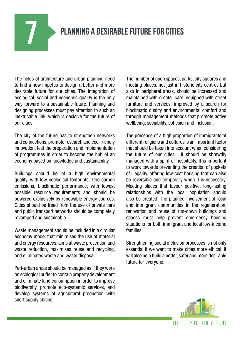### PLANNING A DESIRABLE FUTURE FOR CITIES

The fields of architecture and urban planning need to find a new impetus to design a better and more desirable future for our cities. The integration of ecological, social and economic quality is the only way forward to a sustainable future. Planning and designing processes must pay attention to such an inextricable link, which is decisive for the future of our cities.

The city of the future has to strengthen networks and connections, promote research and eco-friendly innovation, test the preparation and implementation of programmes in order to become the hub of an economy based on knowledge and sustainability.

Buildings should be of a high environmental quality, with low ecological footprints, zero carbon emissions, bioclimatic performance, with lowest possible resource requirements and should be powered exclusively by renewable energy sources. Cities should be freed from the use of private cars and public transport networks should be completely revamped and sustainable.

Waste management should be included in a circular economy model that minimises the use of material and energy resources, aims at waste prevention and waste reduction, maximises reuse and recycling, and eliminates waste and waste disposal.

Peri-urban areas should be managed as if they were an ecological buffer to contain property development and eliminate land consumption in order to improve biodiversity, promote eco-systemic services, and develop systems of agricultural production with short supply chains.

The number of open spaces, parks, city squares and meeting places, not just in historic city centres but also in peripheral areas, should be increased and maintained with greater care, equipped with street furniture and services; improved by a search for bioclimatic quality and environmental comfort and through management methods that promote active wellbeing, sociability, cohesion and inclusion.

The presence of a high proportion of immigrants of different religions and cultures is an important factor that should be taken into account when considering the future of our cities. It should be shrewdly managed with a spirit of hospitality. It is important to work towards preventing the creation of pockets of illegality, offering low-cost housing that can also be reversible and temporary when it is necessary. Meeting places that favour positive, long-lasting relationships with the local population should also be created. The planned involvement of local and immigrant communities in the regeneration, renovation and reuse of run-down buildings and spaces must help prevent emergency housing situations for both immigrant and local low-income families.

Strengthening social inclusion processes is not only essential if we want to make cities more ethical, it will also help build a better, safer and more desirable future for everyone.

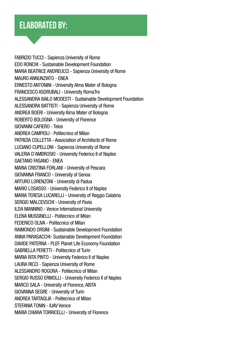#### Elaborated by:

FABRIZIO TUCCI - Sapienza University of Rome EDO RONCHI - Sustainable Development Foundation MARIA BEATRICE ANDREUCCI - Sapienza University of Rome MAURO ANNUNZIATO - ENEA ERNESTO ANTONINI - University Alma Mater of Bologna FRANCESCO ASDRUBALI - University RomaTre ALESSANDRA BAILO MODESTI - Sustainable Development Foundation ALESSANDRA BATTISTI - Sapienza University of Rome ANDREA BOERI - University Alma Mater of Bologna ROBERTO BOLOGNA - University of Florence GIOVANNI CAFIERO - Telos ANDREA CAMPIOLI - Politecnico of Milan PATRIZIA COLLETTA - Association of Architects of Rome LUCIANO CUPELLONI - Sapienza University of Rome VALERIA D'AMBROSIO - University Federico II of Naples GAETANO FASANO - ENEA MARIA CRISTINA FORLANI - University of Pescara GIOVANNA FRANCO - University of Genoa ARTURO LORENZONI - University di Padua MARIO LOSASSO - University Federico II of Naples MARIA TERESA LUCARELLI - University of Reggio Calabria SERGIO MALCEVSCHI - University of Pavia ILDA MANNINO - Venice International University ELENA MUSSINELLI - Politecnico of Milan FEDERICO OLIVA - Politecnico of Milan RAIMONDO ORSINI - Sustainable Development Foundation ANNA PARASACCHI- Sustainable Development Foundation DAVIDE PATERNA - PLEF Planet Life Economy Foundation GABRIELLA PERETTI - Politecnico of Turin MARIA RITA PINTO - University Federico II of Naples LAURA RICCI - Sapienza University of Rome ALESSANDRO ROGORA - Politecnico of Milan SERGIO RUSSO ERMOLLI - University Federico II of Naples MARCO SALA - University of Florence, ABITA GIOVANNA SEGRE - University of Turin ANDREA TARTAGLIA - Politecnico of Milan STEFANIA TONIN - IUAV Venice MARIA CHIARA TORRICELLI - University of Florence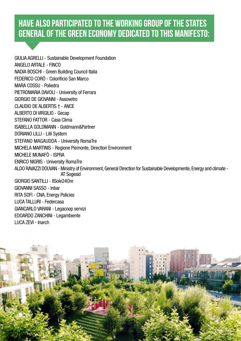### Have also participated to the Working Group of the States General of the Green economy dedicated to this Manifesto:

GIULIA AGRELLI - Sustainable Development Foundation ANGELO ARTALE - FINCO NADIA BOSCHI - Green Building Council Italia FEDERICO CORÒ - Colorificio San Marco MARA COSSU - Poliedra PIETROMARIA DAVOLI - University of Ferrara GIORGIO DE GIOVANNI - Assovetro CLAUDIO DE ALBERTIS † - ANCE ALBERTO DI VIRGILIO - Gecap STEFANO FATTOR - Casa Clima ISABELLA GOLDMANN - Goldmann&Partner DORIANO LILLI - Lilli System STEFANO MAGAUDDA - University RomaTre MICHELA MARTINIS - Regione Piemonte, Direction Environment MICHELE MUNAFÒ - ISPRA ENRICO NIGRIS - University RomaTre ALDO RAVAZZI DOUVAN - Ministry of Environment, General Direction for Sustainable Developmente, Energy and climate - AT Sogesid GIORGIO SANTILLI - IlSole24Ore GIOVANNI SASSO - Inbar RITA SOFI - CNA, Energy Policies LUCA TALLURI - Federcasa GIANCARLO VARANI - Legacoop servizi EDOARDO ZANCHINI - Legambiente LUCA ZEVI - Inarch